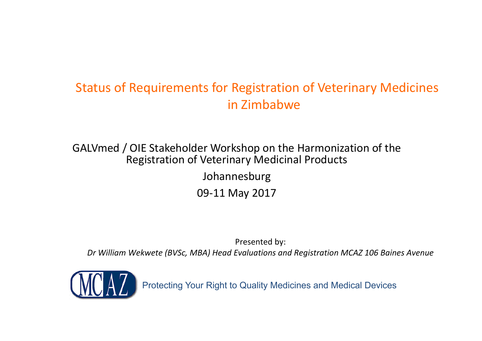#### Status of Requirements for Registration of Veterinary Medicines in Zimbabwe

GALVmed / OIE Stakeholder Workshop on the Harmonization of the Registration of Veterinary Medicinal Products

> Johannesburg 09-11 May 2017

Presented by: *Dr William Wekwete (BVSc, MBA) Head Evaluations and Registration MCAZ 106 Baines Avenue*

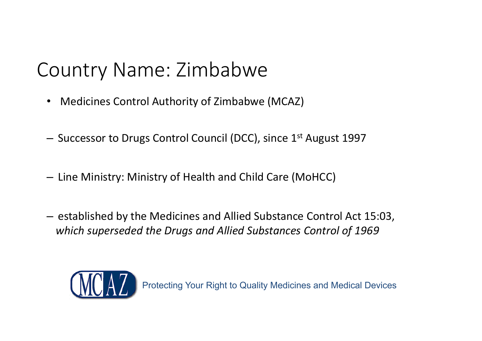- Medicines Control Authority of Zimbabwe (MCAZ)
- Successor to Drugs Control Council (DCC), since 1<sup>st</sup> August 1997
- $-$  Line Ministry: Ministry of Health and Child Care (MoHCC)
- $-$  established by the Medicines and Allied Substance Control Act 15:03, *which superseded the Drugs and Allied Substances Control of 196 9*

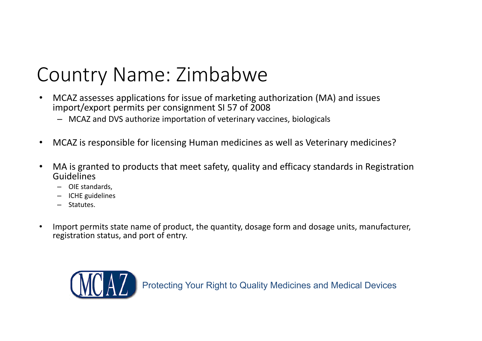- • MCAZ assesses applications for issue of marketing authorization (MA) and issues import/export permits per consignment SI 57 of 2008
	- MCAZ and DVS authorize importation of veterinary vaccines, biologicals
- •MCAZ is responsible for licensing Human medicines as well as Veterinary medicines?
- • MA is granted to products that meet safety, quality and efficacy standards in Registration Guidelines
	- OIE standards,
	- ICHE guidelines
	- Statutes.
- • Import permits state name of product, the quantity, dosage form and dosage units, manufacturer, registration status, and port of entry.

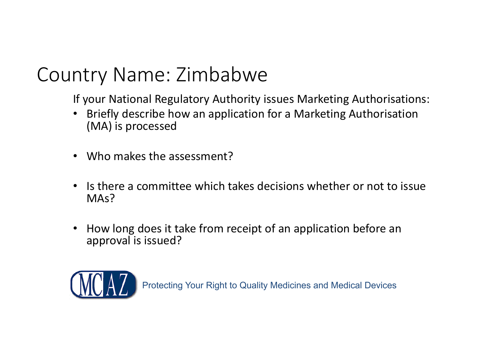If your National Regulatory Authority issues Marketing Authorisations:

- • Briefly describe how an application for a Marketing Authorisation (MA) is processed
- Who makes the assessment?
- • Is there a committee which takes decisions whether or not to issue MA<sub>s</sub>?
- • How long does it take from receipt of an application before an approval is issued?

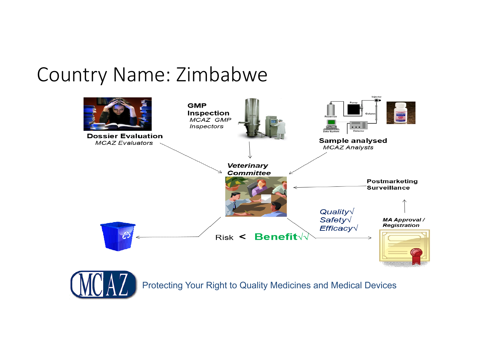

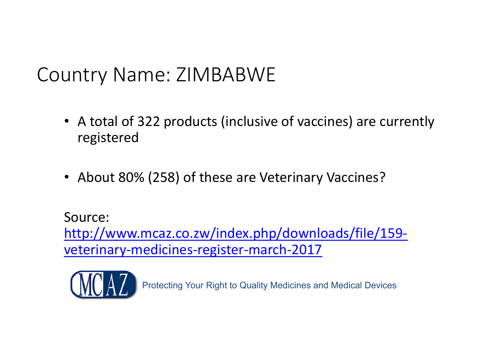- A total of 322 products (inclusive of vaccines) are currently registered
- About 80% (258) of these are Veterinary Vaccines?

Source: http://www.mcaz.co.zw/index.php/downloads/file/159 veterinary-medicines-register-march-2017

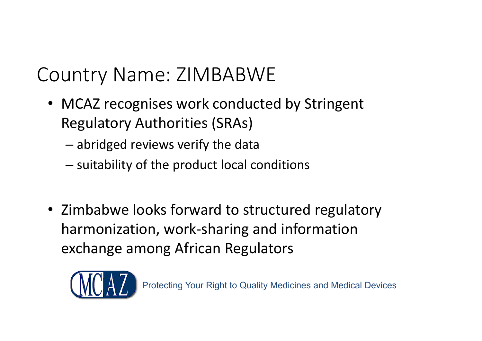- MCAZ recognises work conducted by Stringent Regulatory Authorities (SRAs)
	- abridged reviews verify the data
	- $-$  suitability of the product local conditions
- Zimbabwe looks forward to structured regulatory harmonization, work-sharing and information exchange among African Regulators

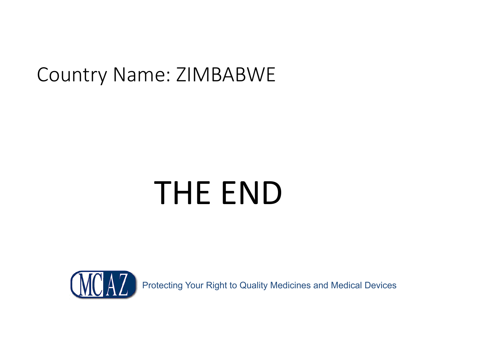# THE END